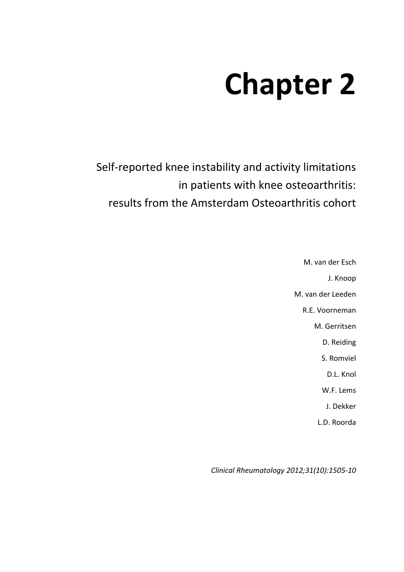# **Chapter 2**

Self-reported knee instability and activity limitations in patients with knee osteoarthritis: results from the Amsterdam Osteoarthritis cohort

> M. van der Esch J. Knoop M. van der Leeden R.E. Voorneman M. Gerritsen D. Reiding S. Romviel D.L. Knol W.F. Lems J. Dekker L.D. Roorda

*Clinical Rheumatology 2012;31(10):1505-10*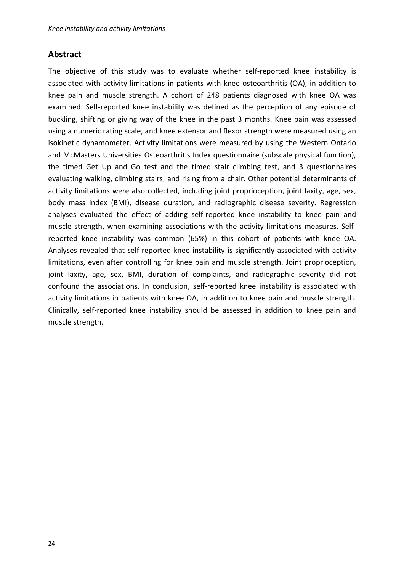## **Abstract**

The objective of this study was to evaluate whether self-reported knee instability is associated with activity limitations in patients with knee osteoarthritis (OA), in addition to knee pain and muscle strength. A cohort of 248 patients diagnosed with knee OA was examined. Self-reported knee instability was defined as the perception of any episode of buckling, shifting or giving way of the knee in the past 3 months. Knee pain was assessed using a numeric rating scale, and knee extensor and flexor strength were measured using an isokinetic dynamometer. Activity limitations were measured by using the Western Ontario and McMasters Universities Osteoarthritis Index questionnaire (subscale physical function), the timed Get Up and Go test and the timed stair climbing test, and 3 questionnaires evaluating walking, climbing stairs, and rising from a chair. Other potential determinants of activity limitations were also collected, including joint proprioception, joint laxity, age, sex, body mass index (BMI), disease duration, and radiographic disease severity. Regression analyses evaluated the effect of adding self-reported knee instability to knee pain and muscle strength, when examining associations with the activity limitations measures. Selfreported knee instability was common (65%) in this cohort of patients with knee OA. Analyses revealed that self-reported knee instability is significantly associated with activity limitations, even after controlling for knee pain and muscle strength. Joint proprioception, joint laxity, age, sex, BMI, duration of complaints, and radiographic severity did not confound the associations. In conclusion, self-reported knee instability is associated with activity limitations in patients with knee OA, in addition to knee pain and muscle strength. Clinically, self-reported knee instability should be assessed in addition to knee pain and muscle strength.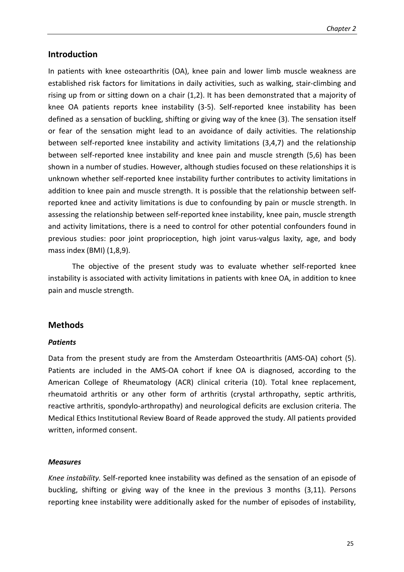## **Introduction**

In patients with knee osteoarthritis (OA), knee pain and lower limb muscle weakness are established risk factors for limitations in daily activities, such as walking, stair-climbing and rising up from or sitting down on a chair (1,2). It has been demonstrated that a majority of knee OA patients reports knee instability (3-5). Self-reported knee instability has been defined as a sensation of buckling, shifting or giving way of the knee (3). The sensation itself or fear of the sensation might lead to an avoidance of daily activities. The relationship between self-reported knee instability and activity limitations (3,4,7) and the relationship between self-reported knee instability and knee pain and muscle strength (5,6) has been shown in a number of studies. However, although studies focused on these relationships it is unknown whether self-reported knee instability further contributes to activity limitations in addition to knee pain and muscle strength. It is possible that the relationship between selfreported knee and activity limitations is due to confounding by pain or muscle strength. In assessing the relationship between self-reported knee instability, knee pain, muscle strength and activity limitations, there is a need to control for other potential confounders found in previous studies: poor joint proprioception, high joint varus-valgus laxity, age, and body mass index (BMI) (1,8,9).

The objective of the present study was to evaluate whether self-reported knee instability is associated with activity limitations in patients with knee OA, in addition to knee pain and muscle strength.

## **Methods**

#### *Patients*

Data from the present study are from the Amsterdam Osteoarthritis (AMS-OA) cohort (5). Patients are included in the AMS-OA cohort if knee OA is diagnosed, according to the American College of Rheumatology (ACR) clinical criteria (10). Total knee replacement, rheumatoid arthritis or any other form of arthritis (crystal arthropathy, septic arthritis, reactive arthritis, spondylo-arthropathy) and neurological deficits are exclusion criteria. The Medical Ethics Institutional Review Board of Reade approved the study. All patients provided written, informed consent.

#### *Measures*

*Knee instability.* Self-reported knee instability was defined as the sensation of an episode of buckling, shifting or giving way of the knee in the previous 3 months (3,11). Persons reporting knee instability were additionally asked for the number of episodes of instability,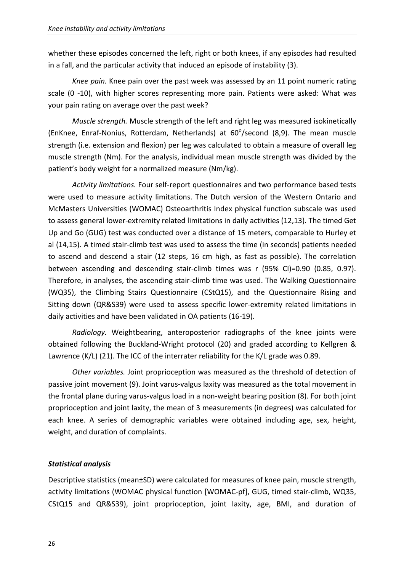whether these episodes concerned the left, right or both knees, if any episodes had resulted in a fall, and the particular activity that induced an episode of instability (3).

*Knee pain.* Knee pain over the past week was assessed by an 11 point numeric rating scale (0 -10), with higher scores representing more pain. Patients were asked: What was your pain rating on average over the past week?

*Muscle strength.* Muscle strength of the left and right leg was measured isokinetically (EnKnee, Enraf-Nonius, Rotterdam, Netherlands) at 60°/second (8,9). The mean muscle strength (i.e. extension and flexion) per leg was calculated to obtain a measure of overall leg muscle strength (Nm). For the analysis, individual mean muscle strength was divided by the patient's body weight for a normalized measure (Nm/kg).

*Activity limitations.* Four self-report questionnaires and two performance based tests were used to measure activity limitations. The Dutch version of the Western Ontario and McMasters Universities (WOMAC) Osteoarthritis Index physical function subscale was used to assess general lower-extremity related limitations in daily activities (12,13). The timed Get Up and Go (GUG) test was conducted over a distance of 15 meters, comparable to Hurley et al (14,15). A timed stair-climb test was used to assess the time (in seconds) patients needed to ascend and descend a stair (12 steps, 16 cm high, as fast as possible). The correlation between ascending and descending stair-climb times was r (95% CI)=0.90 (0.85, 0.97). Therefore, in analyses, the ascending stair-climb time was used. The Walking Questionnaire (WQ35), the Climbing Stairs Questionnaire (CStQ15), and the Questionnaire Rising and Sitting down (QR&S39) were used to assess specific lower-extremity related limitations in daily activities and have been validated in OA patients (16-19).

*Radiology.* Weightbearing, anteroposterior radiographs of the knee joints were obtained following the Buckland-Wright protocol (20) and graded according to Kellgren & Lawrence (K/L) (21). The ICC of the interrater reliability for the K/L grade was 0.89.

*Other variables.* Joint proprioception was measured as the threshold of detection of passive joint movement (9). Joint varus-valgus laxity was measured as the total movement in the frontal plane during varus-valgus load in a non-weight bearing position (8). For both joint proprioception and joint laxity, the mean of 3 measurements (in degrees) was calculated for each knee. A series of demographic variables were obtained including age, sex, height, weight, and duration of complaints.

## *Statistical analysis*

Descriptive statistics (mean±SD) were calculated for measures of knee pain, muscle strength, activity limitations (WOMAC physical function [WOMAC-pf], GUG, timed stair-climb, WQ35, CStQ15 and QR&S39), joint proprioception, joint laxity, age, BMI, and duration of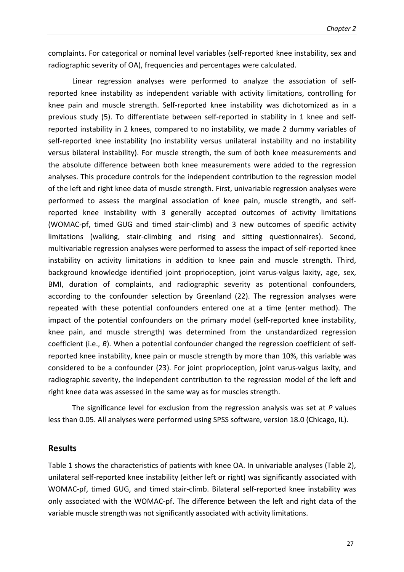complaints. For categorical or nominal level variables (self-reported knee instability, sex and radiographic severity of OA), frequencies and percentages were calculated.

Linear regression analyses were performed to analyze the association of selfreported knee instability as independent variable with activity limitations, controlling for knee pain and muscle strength. Self-reported knee instability was dichotomized as in a previous study (5). To differentiate between self-reported in stability in 1 knee and selfreported instability in 2 knees, compared to no instability, we made 2 dummy variables of self-reported knee instability (no instability versus unilateral instability and no instability versus bilateral instability). For muscle strength, the sum of both knee measurements and the absolute difference between both knee measurements were added to the regression analyses. This procedure controls for the independent contribution to the regression model of the left and right knee data of muscle strength. First, univariable regression analyses were performed to assess the marginal association of knee pain, muscle strength, and selfreported knee instability with 3 generally accepted outcomes of activity limitations (WOMAC-pf, timed GUG and timed stair-climb) and 3 new outcomes of specific activity limitations (walking, stair-climbing and rising and sitting questionnaires). Second, multivariable regression analyses were performed to assess the impact of self-reported knee instability on activity limitations in addition to knee pain and muscle strength. Third, background knowledge identified joint proprioception, joint varus-valgus laxity, age, sex, BMI, duration of complaints, and radiographic severity as potentional confounders, according to the confounder selection by Greenland (22). The regression analyses were repeated with these potential confounders entered one at a time (enter method). The impact of the potential confounders on the primary model (self-reported knee instability, knee pain, and muscle strength) was determined from the unstandardized regression coefficient (i.e., *B*). When a potential confounder changed the regression coefficient of selfreported knee instability, knee pain or muscle strength by more than 10%, this variable was considered to be a confounder (23). For joint proprioception, joint varus-valgus laxity, and radiographic severity, the independent contribution to the regression model of the left and right knee data was assessed in the same way as for muscles strength.

The significance level for exclusion from the regression analysis was set at *P* values less than 0.05. All analyses were performed using SPSS software, version 18.0 (Chicago, IL).

### **Results**

Table 1 shows the characteristics of patients with knee OA. In univariable analyses (Table 2), unilateral self-reported knee instability (either left or right) was significantly associated with WOMAC-pf, timed GUG, and timed stair-climb. Bilateral self-reported knee instability was only associated with the WOMAC-pf. The difference between the left and right data of the variable muscle strength was not significantly associated with activity limitations.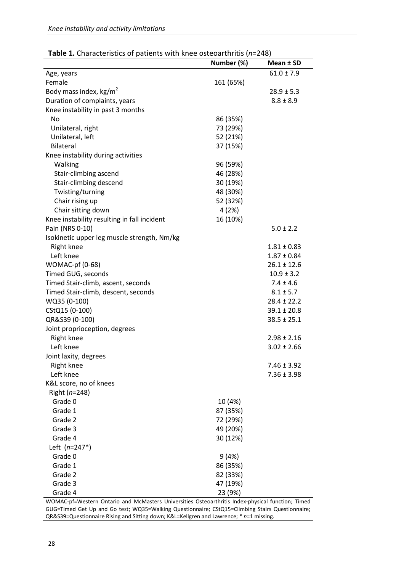| <b>Table 1.</b> Characteristics of patients with Kiled Osteoarth itis (11–240) |            |                 |
|--------------------------------------------------------------------------------|------------|-----------------|
|                                                                                | Number (%) | Mean ± SD       |
| Age, years                                                                     |            | $61.0 \pm 7.9$  |
| Female                                                                         | 161 (65%)  |                 |
| Body mass index, $kg/m2$                                                       |            | $28.9 \pm 5.3$  |
| Duration of complaints, years                                                  |            | $8.8 \pm 8.9$   |
| Knee instability in past 3 months                                              |            |                 |
| No                                                                             | 86 (35%)   |                 |
| Unilateral, right                                                              | 73 (29%)   |                 |
| Unilateral, left                                                               | 52 (21%)   |                 |
| <b>Bilateral</b>                                                               | 37 (15%)   |                 |
| Knee instability during activities                                             |            |                 |
| Walking                                                                        | 96 (59%)   |                 |
| Stair-climbing ascend                                                          | 46 (28%)   |                 |
| Stair-climbing descend                                                         | 30 (19%)   |                 |
| Twisting/turning                                                               | 48 (30%)   |                 |
| Chair rising up                                                                | 52 (32%)   |                 |
| Chair sitting down                                                             | 4 (2%)     |                 |
| Knee instability resulting in fall incident                                    | 16 (10%)   |                 |
| Pain (NRS 0-10)                                                                |            | $5.0 \pm 2.2$   |
| Isokinetic upper leg muscle strength, Nm/kg                                    |            |                 |
| Right knee                                                                     |            | $1.81 \pm 0.83$ |
| Left knee                                                                      |            | $1.87 \pm 0.84$ |
| <b>WOMAC-pf (0-68)</b>                                                         |            | $26.1 \pm 12.6$ |
| Timed GUG, seconds                                                             |            | $10.9 \pm 3.2$  |
| Timed Stair-climb, ascent, seconds                                             |            | $7.4 \pm 4.6$   |
| Timed Stair-climb, descent, seconds                                            |            | $8.1 \pm 5.7$   |
| WQ35 (0-100)                                                                   |            | $28.4 \pm 22.2$ |
| CStQ15 (0-100)                                                                 |            | $39.1 \pm 20.8$ |
| QR&S39 (0-100)                                                                 |            | $38.5 \pm 25.1$ |
| Joint proprioception, degrees                                                  |            |                 |
| Right knee                                                                     |            | $2.98 \pm 2.16$ |
| Left knee                                                                      |            | $3.02 \pm 2.66$ |
| Joint laxity, degrees                                                          |            |                 |
| Right knee                                                                     |            | $7.46 \pm 3.92$ |
| Left knee                                                                      |            | $7.36 \pm 3.98$ |
| K&L score, no of knees                                                         |            |                 |
|                                                                                |            |                 |
| Right $(n=248)$<br>Grade 0                                                     |            |                 |
| Grade 1                                                                        | 10 (4%)    |                 |
| Grade 2                                                                        | 87 (35%)   |                 |
|                                                                                | 72 (29%)   |                 |
| Grade 3                                                                        | 49 (20%)   |                 |
| Grade 4                                                                        | 30 (12%)   |                 |
| Left $(n=247*)$                                                                |            |                 |
| Grade 0                                                                        | 9(4%)      |                 |
| Grade 1                                                                        | 86 (35%)   |                 |
| Grade 2                                                                        | 82 (33%)   |                 |
| Grade 3                                                                        | 47 (19%)   |                 |
| Grade 4                                                                        | 23 (9%)    |                 |

| Table 1. Characteristics of patients with knee osteoarthritis (n=248) |  |  |
|-----------------------------------------------------------------------|--|--|
|-----------------------------------------------------------------------|--|--|

WOMAC-pf=Western Ontario and McMasters Universities Osteoarthritis Index-physical function; Timed GUG=Timed Get Up and Go test; WQ35=Walking Questionnaire; CStQ15=Climbing Stairs Questionnaire; QR&S39=Questionnaire Rising and Sitting down; K&L=Kellgren and Lawrence; \* *n*=1 missing.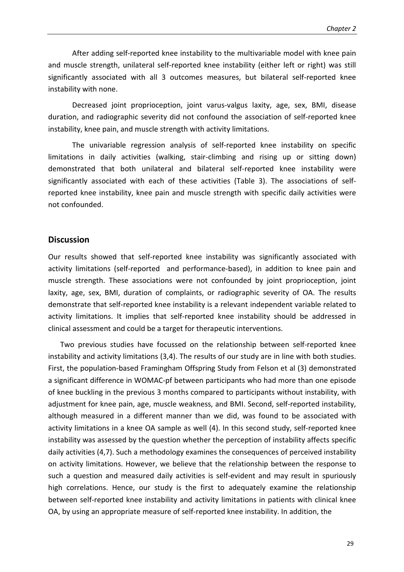After adding self-reported knee instability to the multivariable model with knee pain and muscle strength, unilateral self-reported knee instability (either left or right) was still significantly associated with all 3 outcomes measures, but bilateral self-reported knee instability with none.

Decreased joint proprioception, joint varus-valgus laxity, age, sex, BMI, disease duration, and radiographic severity did not confound the association of self-reported knee instability, knee pain, and muscle strength with activity limitations.

The univariable regression analysis of self-reported knee instability on specific limitations in daily activities (walking, stair-climbing and rising up or sitting down) demonstrated that both unilateral and bilateral self-reported knee instability were significantly associated with each of these activities (Table 3). The associations of selfreported knee instability, knee pain and muscle strength with specific daily activities were not confounded.

#### **Discussion**

Our results showed that self-reported knee instability was significantly associated with activity limitations (self-reported and performance-based), in addition to knee pain and muscle strength. These associations were not confounded by joint proprioception, joint laxity, age, sex, BMI, duration of complaints, or radiographic severity of OA. The results demonstrate that self-reported knee instability is a relevant independent variable related to activity limitations. It implies that self-reported knee instability should be addressed in clinical assessment and could be a target for therapeutic interventions.

Two previous studies have focussed on the relationship between self-reported knee instability and activity limitations (3,4). The results of our study are in line with both studies. First, the population-based Framingham Offspring Study from Felson et al (3) demonstrated a significant difference in WOMAC-pf between participants who had more than one episode of knee buckling in the previous 3 months compared to participants without instability, with adjustment for knee pain, age, muscle weakness, and BMI. Second, self-reported instability, although measured in a different manner than we did, was found to be associated with activity limitations in a knee OA sample as well (4). In this second study, self-reported knee instability was assessed by the question whether the perception of instability affects specific daily activities (4,7). Such a methodology examines the consequences of perceived instability on activity limitations. However, we believe that the relationship between the response to such a question and measured daily activities is self-evident and may result in spuriously high correlations. Hence, our study is the first to adequately examine the relationship between self-reported knee instability and activity limitations in patients with clinical knee OA, by using an appropriate measure of self-reported knee instability. In addition, the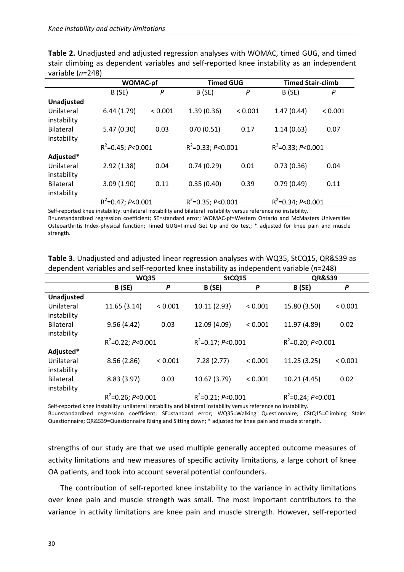|                   | <b>WOMAC-pf</b>      |              | <b>Timed GUG</b>     |         | <b>Timed Stair-climb</b> |         |
|-------------------|----------------------|--------------|----------------------|---------|--------------------------|---------|
|                   | B(SE)                | P            | B (SE)               | P       | B(SE)                    | P       |
| <b>Unadjusted</b> |                      |              |                      |         |                          |         |
| Unilateral        | 6.44(1.79)           | ${}_{0.001}$ | 1.39(0.36)           | < 0.001 | 1.47(0.44)               | < 0.001 |
| instability       |                      |              |                      |         |                          |         |
| <b>Bilateral</b>  | 5.47(0.30)           | 0.03         | 070 (0.51)           | 0.17    | 1.14(0.63)               | 0.07    |
| instability       |                      |              |                      |         |                          |         |
|                   | $R^2$ =0.45; P<0.001 |              | $R^2$ =0.33; P<0.001 |         | $R^2$ =0.33; P<0.001     |         |
| Adjusted*         |                      |              |                      |         |                          |         |
| Unilateral        | 2.92(1.38)           | 0.04         | 0.74(0.29)           | 0.01    | 0.73(0.36)               | 0.04    |
| instability       |                      |              |                      |         |                          |         |
| <b>Bilateral</b>  | 3.09(1.90)           | 0.11         | 0.35(0.40)           | 0.39    | 0.79(0.49)               | 0.11    |
| instability       |                      |              |                      |         |                          |         |
|                   | $R^2$ =0.47; P<0.001 |              | $R^2$ =0.35; P<0.001 |         | $R^2$ =0.34; P<0.001     |         |

**Table 2.** Unadjusted and adjusted regression analyses with WOMAC, timed GUG, and timed stair climbing as dependent variables and self-reported knee instability as an independent variable (*n*=248)

Self-reported knee instability: unilateral instability and bilateral instability versus reference no instability. B=unstandardized regression coefficient; SE=standard error; WOMAC-pf=Western Ontario and McMasters Universities Osteoarthritis Index-physical function; Timed GUG=Timed Get Up and Go test; \* adjusted for knee pain and muscle strength.

**Table 3.** Unadjusted and adjusted linear regression analyses with WQ35, StCQ15, QR&S39 as dependent variables and self-reported knee instability as independent variable (*n*=248)

|                                                                                                                   | <b>WQ35</b>          |         | StCQ15               |         | <b>QR&amp;S39</b>    |         |
|-------------------------------------------------------------------------------------------------------------------|----------------------|---------|----------------------|---------|----------------------|---------|
|                                                                                                                   | <b>B</b> (SE)        | P       | <b>B</b> (SE)        | P       | <b>B</b> (SE)        | P       |
| <b>Unadjusted</b>                                                                                                 |                      |         |                      |         |                      |         |
| Unilateral                                                                                                        | 11.65(3.14)          | < 0.001 | 10.11 (2.93)         | < 0.001 | 15.80 (3.50)         | < 0.001 |
| instability                                                                                                       |                      |         |                      |         |                      |         |
| <b>Bilateral</b>                                                                                                  | 9.56(4.42)           | 0.03    | 12.09 (4.09)         | < 0.001 | 11.97 (4.89)         | 0.02    |
| instability                                                                                                       |                      |         |                      |         |                      |         |
|                                                                                                                   | $R^2$ =0.22; P<0.001 |         | $R^2$ =0.17; P<0.001 |         | $R^2$ =0.20; P<0.001 |         |
| Adjusted*                                                                                                         |                      |         |                      |         |                      |         |
| Unilateral                                                                                                        | 8.56(2.86)           | < 0.001 | 7.28(2.77)           | < 0.001 | 11.25 (3.25)         | < 0.001 |
| instability                                                                                                       |                      |         |                      |         |                      |         |
| <b>Bilateral</b>                                                                                                  | 8.83 (3.97)          | 0.03    | 10.67 (3.79)         | < 0.001 | 10.21 (4.45)         | 0.02    |
| instability                                                                                                       |                      |         |                      |         |                      |         |
|                                                                                                                   | $R^2$ =0.26; P<0.001 |         | $R^2$ =0.21; P<0.001 |         | $R^2$ =0.24; P<0.001 |         |
| Self-reported knee instability: unilateral instability and bilateral instability versus reference no instability. |                      |         |                      |         |                      |         |

Self-reported knee instability: unilateral instability and bilateral instability versus reference no instability. B=unstandardized regression coefficient; SE=standard error; WQ35=Walking Questionnaire; CStQ15=Climbing Stairs Questionnaire; QR&S39=Questionnaire Rising and Sitting down; \* adjusted for knee pain and muscle strength.

strengths of our study are that we used multiple generally accepted outcome measures of activity limitations and new measures of specific activity limitations, a large cohort of knee OA patients, and took into account several potential confounders.

The contribution of self-reported knee instability to the variance in activity limitations over knee pain and muscle strength was small. The most important contributors to the variance in activity limitations are knee pain and muscle strength. However, self-reported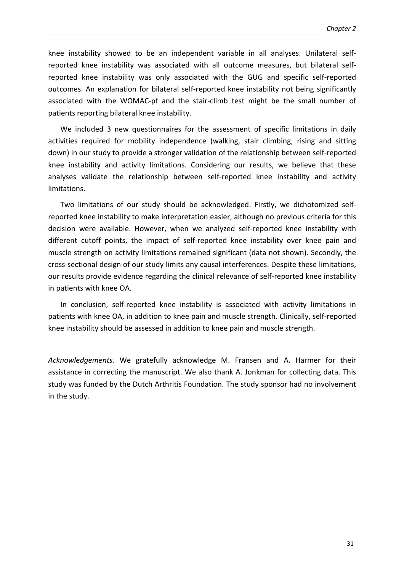knee instability showed to be an independent variable in all analyses. Unilateral selfreported knee instability was associated with all outcome measures, but bilateral selfreported knee instability was only associated with the GUG and specific self-reported outcomes. An explanation for bilateral self-reported knee instability not being significantly associated with the WOMAC-pf and the stair-climb test might be the small number of patients reporting bilateral knee instability.

We included 3 new questionnaires for the assessment of specific limitations in daily activities required for mobility independence (walking, stair climbing, rising and sitting down) in our study to provide a stronger validation of the relationship between self-reported knee instability and activity limitations. Considering our results, we believe that these analyses validate the relationship between self-reported knee instability and activity limitations.

Two limitations of our study should be acknowledged. Firstly, we dichotomized selfreported knee instability to make interpretation easier, although no previous criteria for this decision were available. However, when we analyzed self-reported knee instability with different cutoff points, the impact of self-reported knee instability over knee pain and muscle strength on activity limitations remained significant (data not shown). Secondly, the cross-sectional design of our study limits any causal interferences. Despite these limitations, our results provide evidence regarding the clinical relevance of self-reported knee instability in patients with knee OA.

In conclusion, self-reported knee instability is associated with activity limitations in patients with knee OA, in addition to knee pain and muscle strength. Clinically, self-reported knee instability should be assessed in addition to knee pain and muscle strength.

*Acknowledgements.* We gratefully acknowledge M. Fransen and A. Harmer for their assistance in correcting the manuscript. We also thank A. Jonkman for collecting data. This study was funded by the Dutch Arthritis Foundation. The study sponsor had no involvement in the study.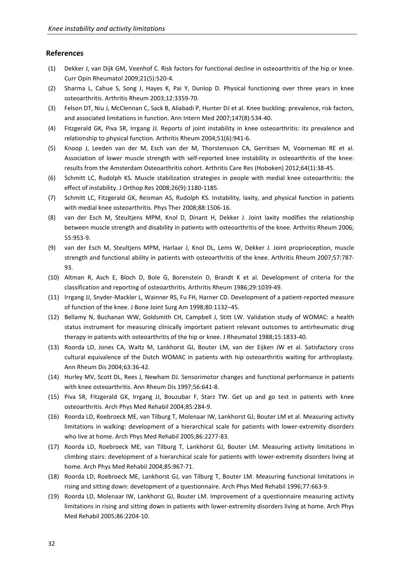#### **References**

- (1) Dekker J, van Dijk GM, Veenhof C. Risk factors for functional decline in osteoarthritis of the hip or knee. Curr Opin Rheumatol 2009;21(5):520-4.
- (2) Sharma L, Cahue S, Song J, Hayes K, Pai Y, Dunlop D. Physical functioning over three years in knee osteoarthritis. Arthritis Rheum 2003;12:3359-70.
- (3) Felson DT, Niu J, McClennan C, Sack B, Aliabadi P, Hunter DJ et al. Knee buckling: prevalence, risk factors, and associated limitations in function. Ann Intern Med 2007;147(8):534-40.
- (4) Fitzgerald GK, Piva SR, Irrgang JJ. Reports of joint instability in knee osteoarthritis: its prevalence and relationship to physical function. Arthritis Rheum 2004;51(6):941-6.
- (5) Knoop J, Leeden van der M, Esch van der M, Thorstensson CA, Gerritsen M, Voorneman RE et al. Association of lower muscle strength with self-reported knee instability in osteoarthritis of the knee: results from the Amsterdam Osteoarthritis cohort. Arthritis Care Res (Hoboken) 2012;64(1):38-45.
- (6) Schmitt LC, Rudolph KS. Muscle stabilization strategies in people with medial knee osteoarthritis: the effect of instability. J Orthop Res 2008;26(9):1180-1185.
- (7) Schmitt LC, Fitzgerald GK, Reisman AS, Rudolph KS. Instability, laxity, and physical function in patients with medial knee osteoarthritis. Phys Ther 2008;88:1506-16.
- (8) van der Esch M, Steultjens MPM, Knol D, Dinant H, Dekker J. Joint laxity modifies the relationship between muscle strength and disability in patients with osteoarthritis of the knee. Arthritis Rheum 2006; 55:953-9.
- (9) van der Esch M, Steultjens MPM, Harlaar J, Knol DL, Lems W, Dekker J. Joint proprioception, muscle strength and functional ability in patients with osteoarthritis of the knee. Arthritis Rheum 2007;57:787- 93.
- (10) Altman R, Asch E, Bloch D, Bole G, Borenstein D, Brandt K et al. Development of criteria for the classification and reporting of osteoarthritis. Arthritis Rheum 1986;29:1039-49.
- (11) Irrgang JJ, Snyder-Mackler L, Wainner RS, Fu FH, Harner CD. Development of a patient-reported measure of function of the knee. J Bone Joint Surg Am 1998;80:1132–45.
- (12) Bellamy N, Buchanan WW, Goldsmith CH, Campbell J, Stitt LW. Validation study of WOMAC: a health status instrument for measuring clinically important patient relevant outcomes to antirheumatic drug therapy in patients with osteoarthritis of the hip or knee. J Rheumatol 1988;15:1833-40.
- (13) Roorda LD, Jones CA, Waltz M, Lankhorst GJ, Bouter LM, van der Eijken JW et al. Satisfactory cross cultural equivalence of the Dutch WOMAC in patients with hip osteoarthritis waiting for arthroplasty. Ann Rheum Dis 2004;63:36-42.
- (14) Hurley MV, Scott DL, Rees J, Newham DJ. Sensorimotor changes and functional performance in patients with knee osteoarthritis. Ann Rheum Dis 1997;56:641-8.
- (15) Piva SR, Fitzgerald GK, Irrgang JJ, Bouzubar F, Starz TW. Get up and go test in patients with knee osteoarthritis. Arch Phys Med Rehabil 2004;85:284-9.
- (16) Roorda LD, Roebroeck ME, van Tilburg T, Molenaar IW, Lankhorst GJ, Bouter LM et al. Measuring activity limitations in walking: development of a hierarchical scale for patients with lower-extremity disorders who live at home. Arch Phys Med Rehabil 2005;86:2277-83.
- (17) Roorda LD, Roebroeck ME, van Tilburg T, Lankhorst GJ, Bouter LM. Measuring activity limitations in climbing stairs: development of a hierarchical scale for patients with lower-extremity disorders living at home. Arch Phys Med Rehabil 2004;85:967-71.
- (18) Roorda LD, Roebroeck ME, Lankhorst GJ, van Tilburg T, Bouter LM. Measuring functional limitations in rising and sitting down: development of a questionnaire. Arch Phys Med Rehabil 1996;77:663-9.
- (19) Roorda LD, Molenaar IW, Lankhorst GJ, Bouter LM. Improvement of a questionnaire measuring activity limitations in rising and sitting down in patients with lower-extremity disorders living at home. Arch Phys Med Rehabil 2005;86:2204-10.